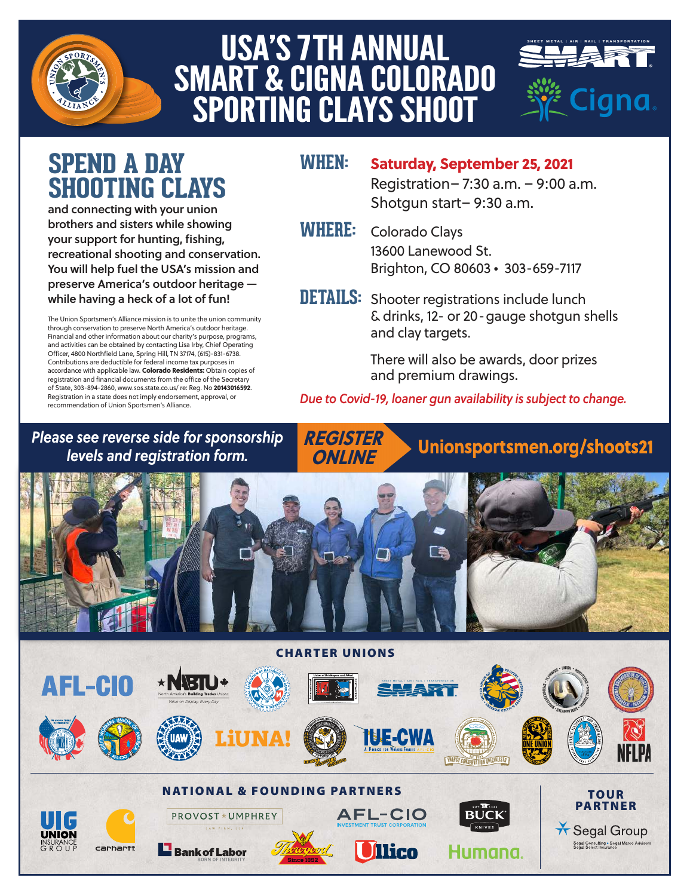

# USA'S 7TH ANNUAL USA S 7 IN ANNUAL<br>SMART & CIGNA COLORADO WAKI & GIUNA GULUKAD<br>SPORTING CLAYS SHOOT



**TOUR** PARTNER

\* Segal Group .<br>Segal Consulting ∙ Segal M<br>Segal Select Insurance

## **SPEND A DAY SHOOTING CLAYS**

and connecting with your union brothers and sisters while showing your support for hunting, fishing, recreational shooting and conservation. You will help fuel the USA's mission and preserve America's outdoor heritage while having a heck of a lot of fun!

The Union Sportsmen's Alliance mission is to unite the union community through conservation to preserve North America's outdoor heritage. Financial and other information about our charity's purpose, programs, and activities can be obtained by contacting Lisa Irby, Chief Operating Officer, 4800 Northfield Lane, Spring Hill, TN 37174, (615)-831-6738. Contributions are deductible for federal income tax purposes in accordance with applicable law. **Colorado Residents:** Obtain copies of registration and financial documents from the office of the Secretary of State, 303-894-2860, www.sos.state.co.us/ re: Reg. No **20143016592**. Registration in a state does not imply endorsement, approval, or recommendation of Union Sportsmen's Alliance.

### **WHEN: Saturday, September 25, 2021**

 Registration– 7:30 a.m. – 9:00 a.m. Shotgun start– 9:30 a.m.

- 
- **WHERE:** Colorado Clays 13600 Lanewood St. Brighton, CO 80603 • 303-659-7117
- **DETAILS:** Shooter registrations include lunch & drinks, 12- or 20-gauge shotgun shells and clay targets.

 There will also be awards, door prizes and premium drawings.

Unionsportsmen.org/shoots21

*Due to Covid-19, loaner gun availability is subject to change.*

#### *Please see reverse side for sponsorship levels and registration form.*



**AFL-CIO** 

**Ilico** 

Humana

NATIONAL & FOUNDING PARTNERS

**PROVOST \* UMPHREY LAW FIRM, LL** 

**Bank of Labor** 

**REGISTER ONLINE**